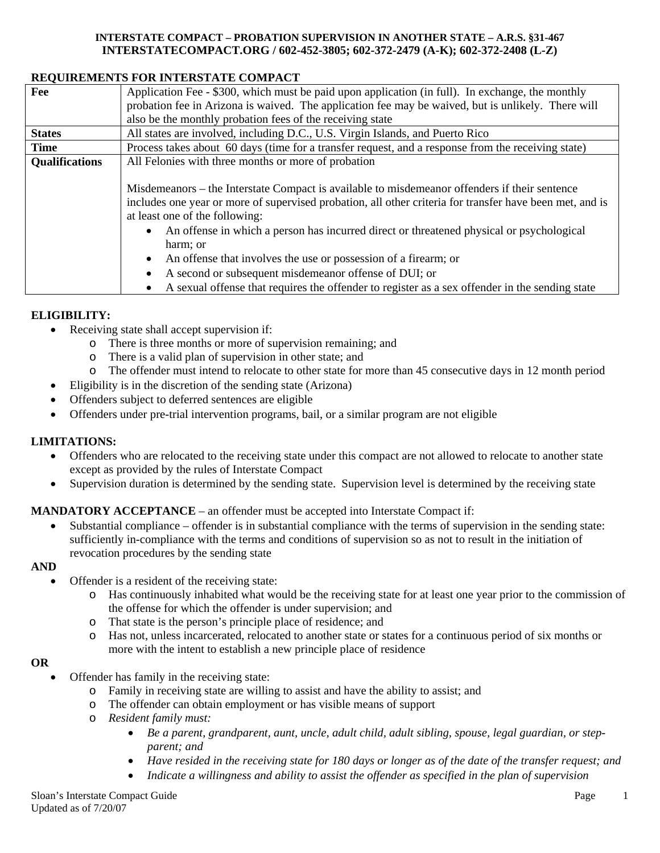## **INTERSTATE COMPACT – PROBATION SUPERVISION IN ANOTHER STATE – A.R.S. §31-467 INTERSTATECOMPACT.ORG / 602-452-3805; 602-372-2479 (A-K); 602-372-2408 (L-Z)**

# **REQUIREMENTS FOR INTERSTATE COMPACT**

| Fee                   | Application Fee - \$300, which must be paid upon application (in full). In exchange, the monthly                                           |
|-----------------------|--------------------------------------------------------------------------------------------------------------------------------------------|
|                       | probation fee in Arizona is waived. The application fee may be waived, but is unlikely. There will                                         |
|                       | also be the monthly probation fees of the receiving state                                                                                  |
| <b>States</b>         | All states are involved, including D.C., U.S. Virgin Islands, and Puerto Rico                                                              |
| <b>Time</b>           | Process takes about 60 days (time for a transfer request, and a response from the receiving state)                                         |
| <b>Qualifications</b> | All Felonies with three months or more of probation                                                                                        |
|                       |                                                                                                                                            |
|                       | Misdemeanors – the Interstate Compact is available to misdemeanor offenders if their sentence                                              |
|                       | includes one year or more of supervised probation, all other criteria for transfer have been met, and is<br>at least one of the following: |
|                       | An offense in which a person has incurred direct or threatened physical or psychological<br>$\bullet$                                      |
|                       | harm; or                                                                                                                                   |
|                       | An offense that involves the use or possession of a firearm; or<br>$\bullet$                                                               |
|                       | A second or subsequent misdemeanor offense of DUI; or<br>٠                                                                                 |
|                       | A sexual offense that requires the offender to register as a sex offender in the sending state                                             |

## **ELIGIBILITY:**

- Receiving state shall accept supervision if:
	- o There is three months or more of supervision remaining; and
	- o There is a valid plan of supervision in other state; and
	- o The offender must intend to relocate to other state for more than 45 consecutive days in 12 month period
- Eligibility is in the discretion of the sending state (Arizona)
- Offenders subject to deferred sentences are eligible
- Offenders under pre-trial intervention programs, bail, or a similar program are not eligible

# **LIMITATIONS:**

- Offenders who are relocated to the receiving state under this compact are not allowed to relocate to another state except as provided by the rules of Interstate Compact
- Supervision duration is determined by the sending state. Supervision level is determined by the receiving state

# **MANDATORY ACCEPTANCE** – an offender must be accepted into Interstate Compact if:

• Substantial compliance – offender is in substantial compliance with the terms of supervision in the sending state: sufficiently in-compliance with the terms and conditions of supervision so as not to result in the initiation of revocation procedures by the sending state

## **AND**

- Offender is a resident of the receiving state:
	- o Has continuously inhabited what would be the receiving state for at least one year prior to the commission of the offense for which the offender is under supervision; and
	- o That state is the person's principle place of residence; and
	- o Has not, unless incarcerated, relocated to another state or states for a continuous period of six months or more with the intent to establish a new principle place of residence

#### **OR**

- Offender has family in the receiving state:
	- o Family in receiving state are willing to assist and have the ability to assist; and
	- o The offender can obtain employment or has visible means of support
	- o *Resident family must:* 
		- *Be a parent, grandparent, aunt, uncle, adult child, adult sibling, spouse, legal guardian, or stepparent; and*
		- *Have resided in the receiving state for 180 days or longer as of the date of the transfer request; and*
		- *Indicate a willingness and ability to assist the offender as specified in the plan of supervision*